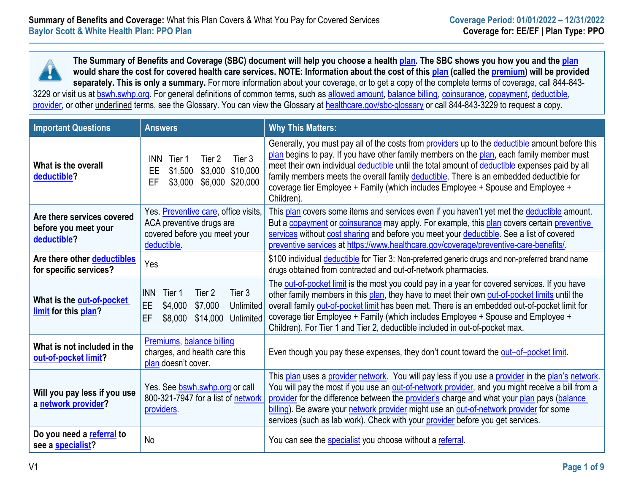**The Summary of Benefits and Coverage (SBC) document will help you choose a healt[h plan.](https://www.healthcare.gov/sbc-glossary/#plan) The SBC shows you how you and the [plan](https://www.healthcare.gov/sbc-glossary/#plan) would share the cost for covered health care services. NOTE: Information about the cost of this [plan](https://www.healthcare.gov/sbc-glossary/#plan) (called the [premium\)](https://www.healthcare.gov/sbc-glossary/#premium) will be provided separately. This is only a summary.** For more information about your coverage, or to get a copy of the complete terms of coverage, call 844-843 3229 or visit us at [bswh.swhp.org.](https://www.swhp.org/) For general definitions of common terms, such as [allowed amount,](https://www.healthcare.gov/sbc-glossary/#allowed-amount) [balance billing,](https://www.healthcare.gov/sbc-glossary/#balance-billing) [coinsurance,](https://www.healthcare.gov/sbc-glossary/#coinsurance) [copayment,](https://www.healthcare.gov/sbc-glossary/#copayment) [deductible,](https://www.healthcare.gov/sbc-glossary/#deductible) [provider,](https://www.healthcare.gov/sbc-glossary/#provider) or other underlined terms, see the Glossary. You can view the Glossary at [healthcare.gov/sbc-glossary](https://www.healthcare.gov/sbc-glossary) or call 844-843-3229 to request a copy.

| <b>Important Questions</b>                                        | <b>Answers</b>                                                                                                            | <b>Why This Matters:</b>                                                                                                                                                                                                                                                                                                                                                                                                                                                                    |
|-------------------------------------------------------------------|---------------------------------------------------------------------------------------------------------------------------|---------------------------------------------------------------------------------------------------------------------------------------------------------------------------------------------------------------------------------------------------------------------------------------------------------------------------------------------------------------------------------------------------------------------------------------------------------------------------------------------|
| What is the overall<br>deductible?                                | Tier 3<br><b>INN</b><br>Tier 2<br>Tier 1<br>\$1,500<br>\$3,000 \$10,000<br>EE<br>\$6,000<br>\$20,000<br>EF<br>\$3,000     | Generally, you must pay all of the costs from providers up to the deductible amount before this<br>plan begins to pay. If you have other family members on the plan, each family member must<br>meet their own individual deductible until the total amount of deductible expenses paid by all<br>family members meets the overall family deductible. There is an embedded deductible for<br>coverage tier Employee + Family (which includes Employee + Spouse and Employee +<br>Children). |
| Are there services covered<br>before you meet your<br>deductible? | Yes. Preventive care, office visits,<br>ACA preventive drugs are<br>covered before you meet your<br>deductible.           | This plan covers some items and services even if you haven't yet met the deductible amount.<br>But a copayment or coinsurance may apply. For example, this plan covers certain preventive<br>services without cost sharing and before you meet your deductible. See a list of covered<br>preventive services at https://www.healthcare.gov/coverage/preventive-care-benefits/                                                                                                               |
| Are there other deductibles<br>for specific services?             | Yes                                                                                                                       | \$100 individual deductible for Tier 3: Non-preferred generic drugs and non-preferred brand name<br>drugs obtained from contracted and out-of-network pharmacies.                                                                                                                                                                                                                                                                                                                           |
| What is the out-of-pocket<br>limit for this plan?                 | <b>INN</b><br>Tier 2<br>Tier 3<br>Tier 1<br>EE.<br>\$7,000<br>\$4,000<br>Unlimited<br>EF<br>\$14,000 Unlimited<br>\$8,000 | The out-of-pocket limit is the most you could pay in a year for covered services. If you have<br>other family members in this plan, they have to meet their own out-of-pocket limits until the<br>overall family out-of-pocket limit has been met. There is an embedded out-of-pocket limit for<br>coverage tier Employee + Family (which includes Employee + Spouse and Employee +<br>Children). For Tier 1 and Tier 2, deductible included in out-of-pocket max.                          |
| What is not included in the<br>out-of-pocket limit?               | Premiums, balance billing<br>charges, and health care this<br>plan doesn't cover.                                         | Even though you pay these expenses, they don't count toward the out-of-pocket limit.                                                                                                                                                                                                                                                                                                                                                                                                        |
| Will you pay less if you use<br>a network provider?               | Yes. See bswh.swhp.org or call<br>800-321-7947 for a list of network<br>providers.                                        | This plan uses a provider network. You will pay less if you use a provider in the plan's network.<br>You will pay the most if you use an out-of-network provider, and you might receive a bill from a<br>provider for the difference between the provider's charge and what your plan pays (balance<br>billing). Be aware your network provider might use an out-of-network provider for some<br>services (such as lab work). Check with your provider before you get services.             |
| Do you need a referral to<br>see a specialist?                    | No                                                                                                                        | You can see the specialist you choose without a referral.                                                                                                                                                                                                                                                                                                                                                                                                                                   |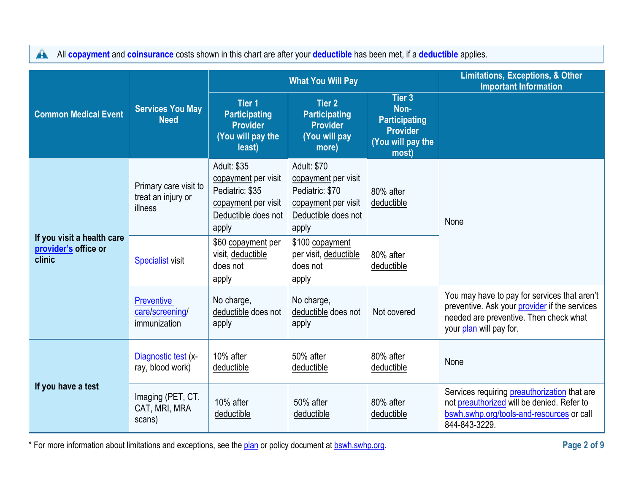All **[copayment](https://www.healthcare.gov/sbc-glossary/#copayment)** and **[coinsurance](https://www.healthcare.gov/sbc-glossary/#coinsurance)** costs shown in this chart are after your **[deductible](https://www.healthcare.gov/sbc-glossary/#deductible)** has been met, if a **deductible** applies.

|                                                              |                                                        |                                                                                                              | <b>What You Will Pay</b>                                                                                     |                                                                                         | <b>Limitations, Exceptions, &amp; Other</b><br><b>Important Information</b>                                                                                        |
|--------------------------------------------------------------|--------------------------------------------------------|--------------------------------------------------------------------------------------------------------------|--------------------------------------------------------------------------------------------------------------|-----------------------------------------------------------------------------------------|--------------------------------------------------------------------------------------------------------------------------------------------------------------------|
| <b>Common Medical Event</b>                                  | <b>Services You May</b><br><b>Need</b>                 | <b>Tier 1</b><br><b>Participating</b><br><b>Provider</b><br>(You will pay the<br>least)                      | <b>Tier 2</b><br><b>Participating</b><br><b>Provider</b><br>(You will pay<br>more)                           | Tier 3<br>Non-<br><b>Participating</b><br><b>Provider</b><br>(You will pay the<br>most) |                                                                                                                                                                    |
| If you visit a health care<br>provider's office or<br>clinic | Primary care visit to<br>treat an injury or<br>illness | Adult: \$35<br>copayment per visit<br>Pediatric: \$35<br>copayment per visit<br>Deductible does not<br>apply | Adult: \$70<br>copayment per visit<br>Pediatric: \$70<br>copayment per visit<br>Deductible does not<br>apply | 80% after<br>deductible                                                                 | None                                                                                                                                                               |
|                                                              | <b>Specialist visit</b>                                | \$60 copayment per<br>visit, deductible<br>does not<br>apply                                                 | \$100 copayment<br>per visit, deductible<br>does not<br>apply                                                | 80% after<br>deductible                                                                 |                                                                                                                                                                    |
|                                                              | <b>Preventive</b><br>care/screening/<br>immunization   | No charge,<br>deductible does not<br>apply                                                                   | No charge,<br>deductible does not<br>apply                                                                   | Not covered                                                                             | You may have to pay for services that aren't<br>preventive. Ask your provider if the services<br>needed are preventive. Then check what<br>your plan will pay for. |
| If you have a test                                           | Diagnostic test (x-<br>ray, blood work)                | 10% after<br>deductible                                                                                      | 50% after<br>deductible                                                                                      | 80% after<br>deductible                                                                 | None                                                                                                                                                               |
|                                                              | Imaging (PET, CT,<br>CAT, MRI, MRA<br>scans)           | 10% after<br>deductible                                                                                      | 50% after<br>deductible                                                                                      | 80% after<br>deductible                                                                 | Services requiring preauthorization that are<br>not preauthorized will be denied. Refer to<br>bswh.swhp.org/tools-and-resources or call<br>844-843-3229.           |

\* For more information about limitations and exceptions, see the plan or policy document at bswh.swhp.org. **Page 2 of 9**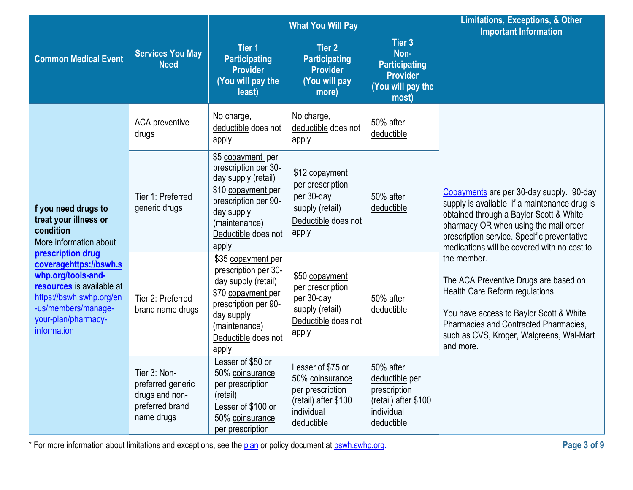|                                                                                                                                                                                         |                                                                                      |                                                                                                                                                                                | <b>What You Will Pay</b>                                                                                     | <b>Limitations, Exceptions, &amp; Other</b><br><b>Important Information</b>                     |                                                                                                                                                                                                                                                                            |
|-----------------------------------------------------------------------------------------------------------------------------------------------------------------------------------------|--------------------------------------------------------------------------------------|--------------------------------------------------------------------------------------------------------------------------------------------------------------------------------|--------------------------------------------------------------------------------------------------------------|-------------------------------------------------------------------------------------------------|----------------------------------------------------------------------------------------------------------------------------------------------------------------------------------------------------------------------------------------------------------------------------|
| <b>Common Medical Event</b>                                                                                                                                                             | <b>Services You May</b><br><b>Need</b>                                               | Tier 1<br><b>Participating</b><br><b>Provider</b><br>(You will pay the<br>least)                                                                                               | <b>Tier 2</b><br><b>Participating</b><br><b>Provider</b><br>(You will pay<br>more)                           | Tier 3<br>Non-<br><b>Participating</b><br><b>Provider</b><br>(You will pay the<br>most)         |                                                                                                                                                                                                                                                                            |
|                                                                                                                                                                                         | <b>ACA</b> preventive<br>drugs                                                       | No charge,<br>deductible does not<br>apply                                                                                                                                     | No charge,<br>deductible does not<br>apply                                                                   | 50% after<br>deductible                                                                         |                                                                                                                                                                                                                                                                            |
| f you need drugs to<br>treat your illness or<br>condition<br>More information about                                                                                                     | Tier 1: Preferred<br>generic drugs                                                   | \$5 copayment per<br>prescription per 30-<br>day supply (retail)<br>\$10 copayment per<br>prescription per 90-<br>day supply<br>(maintenance)<br>Deductible does not<br>apply  | \$12 copayment<br>per prescription<br>per 30-day<br>supply (retail)<br>Deductible does not<br>apply          | 50% after<br>deductible                                                                         | Copayments are per 30-day supply. 90-day<br>supply is available if a maintenance drug is<br>obtained through a Baylor Scott & White<br>pharmacy OR when using the mail order<br>prescription service. Specific preventative<br>medications will be covered with no cost to |
| prescription drug<br>coveragehttps://bswh.s<br>whp.org/tools-and-<br>resources is available at<br>https://bswh.swhp.org/en<br>-us/members/manage-<br>your-plan/pharmacy-<br>information | Tier 2: Preferred<br>brand name drugs                                                | \$35 copayment per<br>prescription per 30-<br>day supply (retail)<br>\$70 copayment per<br>prescription per 90-<br>day supply<br>(maintenance)<br>Deductible does not<br>apply | \$50 copayment<br>per prescription<br>per 30-day<br>supply (retail)<br>Deductible does not<br>apply          | 50% after<br>deductible                                                                         | the member.<br>The ACA Preventive Drugs are based on<br>Health Care Reform regulations.<br>You have access to Baylor Scott & White<br>Pharmacies and Contracted Pharmacies,<br>such as CVS, Kroger, Walgreens, Wal-Mart<br>and more.                                       |
|                                                                                                                                                                                         | Tier 3: Non-<br>preferred generic<br>drugs and non-<br>preferred brand<br>name drugs | Lesser of \$50 or<br>50% coinsurance<br>per prescription<br>(retail)<br>Lesser of \$100 or<br>50% coinsurance<br>per prescription                                              | Lesser of \$75 or<br>50% coinsurance<br>per prescription<br>(retail) after \$100<br>individual<br>deductible | 50% after<br>deductible per<br>prescription<br>(retail) after \$100<br>individual<br>deductible |                                                                                                                                                                                                                                                                            |

\* For more information about limitations and exceptions, see the **plan** or policy document at **bswh.swhp.org. Page 3 of 9 Page 3 of 9**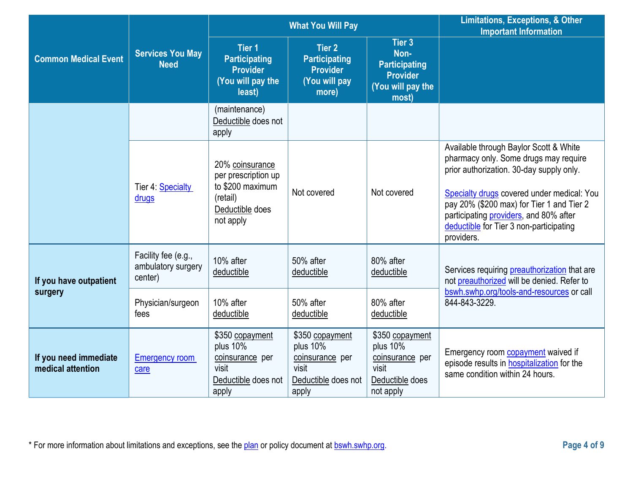|                                            |                                                      |                                                                                                                                                                                                                                                                              | <b>What You Will Pay</b>                                                                | <b>Limitations, Exceptions, &amp; Other</b><br><b>Important Information</b>             |                                                                                                                                                                                                                                                                                                                           |
|--------------------------------------------|------------------------------------------------------|------------------------------------------------------------------------------------------------------------------------------------------------------------------------------------------------------------------------------------------------------------------------------|-----------------------------------------------------------------------------------------|-----------------------------------------------------------------------------------------|---------------------------------------------------------------------------------------------------------------------------------------------------------------------------------------------------------------------------------------------------------------------------------------------------------------------------|
| <b>Common Medical Event</b>                | <b>Services You May</b><br><b>Need</b>               | Tier 3<br>Tier <sub>1</sub><br><b>Tier 2</b><br>Non-<br><b>Participating</b><br><b>Participating</b><br><b>Participating</b><br><b>Provider</b><br><b>Provider</b><br><b>Provider</b><br>(You will pay the<br>(You will pay<br>(You will pay the<br>more)<br>least)<br>most) |                                                                                         |                                                                                         |                                                                                                                                                                                                                                                                                                                           |
|                                            |                                                      | (maintenance)<br>Deductible does not<br>apply                                                                                                                                                                                                                                |                                                                                         |                                                                                         |                                                                                                                                                                                                                                                                                                                           |
|                                            | Tier 4: Specialty<br>drugs                           | 20% coinsurance<br>per prescription up<br>to \$200 maximum<br>(retail)<br>Deductible does<br>not apply                                                                                                                                                                       | Not covered                                                                             | Not covered                                                                             | Available through Baylor Scott & White<br>pharmacy only. Some drugs may require<br>prior authorization. 30-day supply only.<br>Specialty drugs covered under medical: You<br>pay 20% (\$200 max) for Tier 1 and Tier 2<br>participating providers, and 80% after<br>deductible for Tier 3 non-participating<br>providers. |
| If you have outpatient                     | Facility fee (e.g.,<br>ambulatory surgery<br>center) | 10% after<br>deductible                                                                                                                                                                                                                                                      | 50% after<br>deductible                                                                 | 80% after<br>deductible                                                                 | Services requiring preauthorization that are<br>not preauthorized will be denied. Refer to                                                                                                                                                                                                                                |
| surgery                                    | Physician/surgeon<br>fees                            | 10% after<br>deductible                                                                                                                                                                                                                                                      | 50% after<br>deductible                                                                 | 80% after<br>deductible                                                                 | bswh.swhp.org/tools-and-resources or call<br>844-843-3229.                                                                                                                                                                                                                                                                |
| If you need immediate<br>medical attention | <b>Emergency room</b><br>care                        | \$350 copayment<br>plus 10%<br>coinsurance per<br>visit<br>Deductible does not<br>apply                                                                                                                                                                                      | \$350 copayment<br>plus 10%<br>coinsurance per<br>visit<br>Deductible does not<br>apply | \$350 copayment<br>plus 10%<br>coinsurance per<br>visit<br>Deductible does<br>not apply | Emergency room <b>copayment</b> waived if<br>episode results in <b>hospitalization</b> for the<br>same condition within 24 hours.                                                                                                                                                                                         |

\* For more information about limitations and exceptions, see the plan or policy document at **bswh.swhp.org. Page 4 of 9 Page 4 of 9**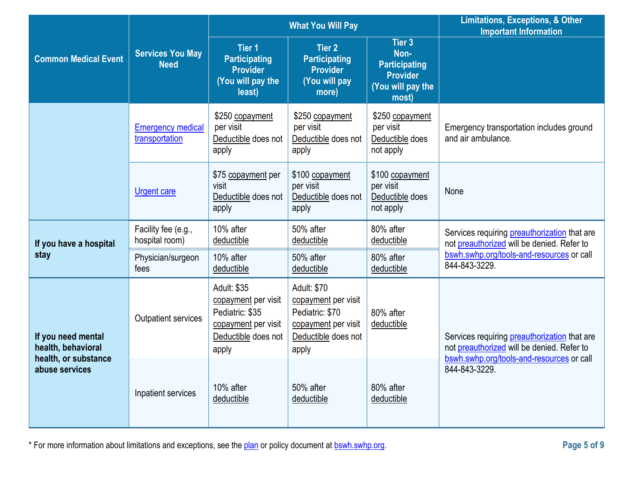|                                          |                                            |                                                                                                              | <b>What You Will Pay</b>                                                                                     | <b>Limitations, Exceptions, &amp; Other</b><br><b>Important Information</b>             |                                                                                                                                                |
|------------------------------------------|--------------------------------------------|--------------------------------------------------------------------------------------------------------------|--------------------------------------------------------------------------------------------------------------|-----------------------------------------------------------------------------------------|------------------------------------------------------------------------------------------------------------------------------------------------|
| <b>Common Medical Event</b>              | <b>Services You May</b><br><b>Need</b>     | Tier <sub>1</sub><br><b>Participating</b><br><b>Provider</b><br>(You will pay the<br>least)                  | <b>Tier 2</b><br><b>Participating</b><br><b>Provider</b><br>(You will pay<br>more)                           | Tier 3<br>Non-<br><b>Participating</b><br><b>Provider</b><br>(You will pay the<br>most) |                                                                                                                                                |
|                                          | <b>Emergency medical</b><br>transportation | \$250 copayment<br>per visit<br>Deductible does not<br>apply                                                 | \$250 copayment<br>per visit<br>Deductible does not<br>apply                                                 | \$250 copayment<br>per visit<br>Deductible does<br>not apply                            | Emergency transportation includes ground<br>and air ambulance.                                                                                 |
|                                          | <b>Urgent care</b>                         | \$75 copayment per<br>visit<br>Deductible does not<br>apply                                                  | \$100 copayment<br>per visit<br>Deductible does not<br>apply                                                 | \$100 copayment<br>per visit<br>Deductible does<br>not apply                            | None                                                                                                                                           |
| If you have a hospital                   | Facility fee (e.g.,<br>hospital room)      | 10% after<br>deductible                                                                                      | 50% after<br>deductible                                                                                      | 80% after<br>deductible                                                                 | Services requiring <b>preauthorization</b> that are<br>not preauthorized will be denied. Refer to                                              |
| stay                                     | Physician/surgeon<br>fees                  | 10% after<br>deductible                                                                                      | 50% after<br>deductible                                                                                      | 80% after<br>deductible                                                                 | bswh.swhp.org/tools-and-resources or call<br>844-843-3229.                                                                                     |
| If you need mental<br>health, behavioral | Outpatient services                        | Adult: \$35<br>copayment per visit<br>Pediatric: \$35<br>copayment per visit<br>Deductible does not<br>apply | Adult: \$70<br>copayment per visit<br>Pediatric: \$70<br>copayment per visit<br>Deductible does not<br>apply | 80% after<br>deductible                                                                 | Services requiring <b>preauthorization</b> that are<br>not preauthorized will be denied. Refer to<br>bswh.swhp.org/tools-and-resources or call |
| health, or substance<br>abuse services   | Inpatient services                         | 10% after<br>deductible                                                                                      | 50% after<br>deductible                                                                                      | 80% after<br>deductible                                                                 | 844-843-3229.                                                                                                                                  |

\* For more information about limitations and exceptions, see the plan or policy document at bswh.swhp.org. **Page 5 of 9**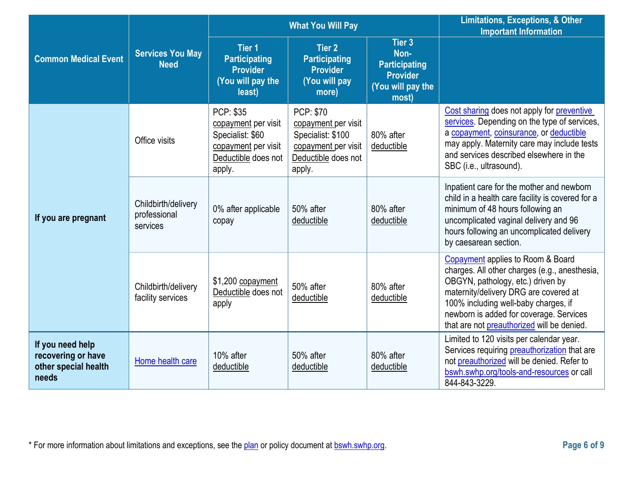|                                                                         |                                                 |                                                                                                                     | <b>What You Will Pay</b>                                                                                             | <b>Limitations, Exceptions, &amp; Other</b><br><b>Important Information</b>      |                                                                                                                                                                                                                                                                                                   |
|-------------------------------------------------------------------------|-------------------------------------------------|---------------------------------------------------------------------------------------------------------------------|----------------------------------------------------------------------------------------------------------------------|----------------------------------------------------------------------------------|---------------------------------------------------------------------------------------------------------------------------------------------------------------------------------------------------------------------------------------------------------------------------------------------------|
| <b>Common Medical Event</b>                                             | <b>Services You May</b><br><b>Need</b>          | Tier <sub>1</sub><br><b>Participating</b><br><b>Provider</b><br>(You will pay the<br>least)                         | <b>Tier 2</b><br><b>Participating</b><br><b>Provider</b><br>(You will pay<br>more)                                   | Tier 3<br>Non-<br><b>Participating</b><br>Provider<br>(You will pay the<br>most) |                                                                                                                                                                                                                                                                                                   |
| If you are pregnant                                                     | Office visits                                   | <b>PCP: \$35</b><br>copayment per visit<br>Specialist: \$60<br>copayment per visit<br>Deductible does not<br>apply. | <b>PCP: \$70</b><br>copayment per visit<br>Specialist: \$100<br>copayment per visit<br>Deductible does not<br>apply. | 80% after<br>deductible                                                          | Cost sharing does not apply for preventive<br>services. Depending on the type of services,<br>a copayment, coinsurance, or deductible<br>may apply. Maternity care may include tests<br>and services described elsewhere in the<br>SBC (i.e., ultrasound).                                        |
|                                                                         | Childbirth/delivery<br>professional<br>services | 0% after applicable<br>copay                                                                                        | 50% after<br>deductible                                                                                              | 80% after<br>deductible                                                          | Inpatient care for the mother and newborn<br>child in a health care facility is covered for a<br>minimum of 48 hours following an<br>uncomplicated vaginal delivery and 96<br>hours following an uncomplicated delivery<br>by caesarean section.                                                  |
|                                                                         | Childbirth/delivery<br>facility services        | \$1,200 copayment<br>Deductible does not<br>apply                                                                   | 50% after<br>deductible                                                                                              | 80% after<br>deductible                                                          | Copayment applies to Room & Board<br>charges. All other charges (e.g., anesthesia,<br>OBGYN, pathology, etc.) driven by<br>maternity/delivery DRG are covered at<br>100% including well-baby charges, if<br>newborn is added for coverage. Services<br>that are not preauthorized will be denied. |
| If you need help<br>recovering or have<br>other special health<br>needs | Home health care                                | 10% after<br>deductible                                                                                             | 50% after<br>deductible                                                                                              | 80% after<br>deductible                                                          | Limited to 120 visits per calendar year.<br>Services requiring preauthorization that are<br>not preauthorized will be denied. Refer to<br>bswh.swhp.org/tools-and-resources or call<br>844-843-3229.                                                                                              |

\* For more information about limitations and exceptions, see the plan or policy document at bswh.swhp.org. **Page 6 of 9**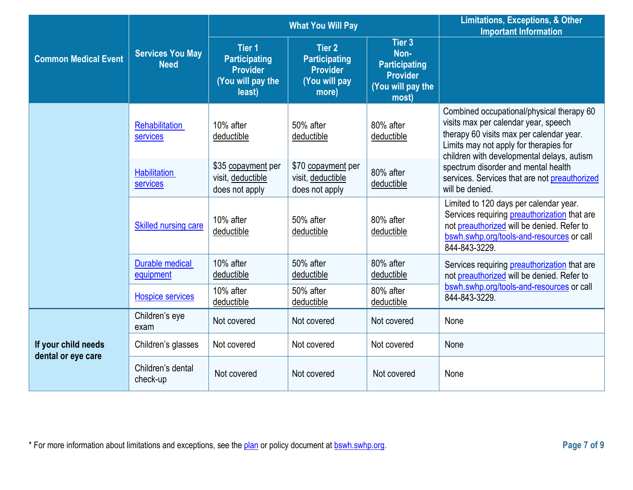|                                           |                                        |                                                                                         | <b>What You Will Pay</b>                                                           | <b>Limitations, Exceptions, &amp; Other</b><br><b>Important Information</b>             |                                                                                                                                                                                                                       |  |
|-------------------------------------------|----------------------------------------|-----------------------------------------------------------------------------------------|------------------------------------------------------------------------------------|-----------------------------------------------------------------------------------------|-----------------------------------------------------------------------------------------------------------------------------------------------------------------------------------------------------------------------|--|
| <b>Common Medical Event</b>               | <b>Services You May</b><br><b>Need</b> | <b>Tier 1</b><br><b>Participating</b><br><b>Provider</b><br>(You will pay the<br>least) | <b>Tier 2</b><br><b>Participating</b><br><b>Provider</b><br>(You will pay<br>more) | Tier 3<br>Non-<br><b>Participating</b><br><b>Provider</b><br>(You will pay the<br>most) |                                                                                                                                                                                                                       |  |
|                                           | <b>Rehabilitation</b><br>services      | 10% after<br>deductible                                                                 | 50% after<br>deductible                                                            | 80% after<br>deductible                                                                 | Combined occupational/physical therapy 60<br>visits max per calendar year, speech<br>therapy 60 visits max per calendar year.<br>Limits may not apply for therapies for<br>children with developmental delays, autism |  |
|                                           | <b>Habilitation</b><br>services        | \$35 copayment per<br>visit, deductible<br>does not apply                               | \$70 copayment per<br>visit, deductible<br>does not apply                          | 80% after<br>deductible                                                                 | spectrum disorder and mental health<br>services. Services that are not preauthorized<br>will be denied.                                                                                                               |  |
|                                           | <b>Skilled nursing care</b>            | 10% after<br>deductible                                                                 | 50% after<br>deductible                                                            | 80% after<br>deductible                                                                 | Limited to 120 days per calendar year.<br>Services requiring preauthorization that are<br>not preauthorized will be denied. Refer to<br>bswh.swhp.org/tools-and-resources or call<br>844-843-3229.                    |  |
|                                           | <b>Durable medical</b><br>equipment    | 10% after<br>deductible                                                                 | 50% after<br>deductible                                                            | 80% after<br>deductible                                                                 | Services requiring <b>preauthorization</b> that are<br>not preauthorized will be denied. Refer to                                                                                                                     |  |
|                                           | <b>Hospice services</b>                | 10% after<br>deductible                                                                 | 50% after<br>deductible                                                            | 80% after<br>deductible                                                                 | bswh.swhp.org/tools-and-resources or call<br>844-843-3229.                                                                                                                                                            |  |
|                                           | Children's eye<br>exam                 | Not covered                                                                             | Not covered                                                                        | Not covered                                                                             | None                                                                                                                                                                                                                  |  |
| If your child needs<br>dental or eye care | Children's glasses                     | Not covered                                                                             | Not covered                                                                        | Not covered                                                                             | None                                                                                                                                                                                                                  |  |
|                                           | Children's dental<br>check-up          | Not covered                                                                             | Not covered                                                                        | Not covered                                                                             | None                                                                                                                                                                                                                  |  |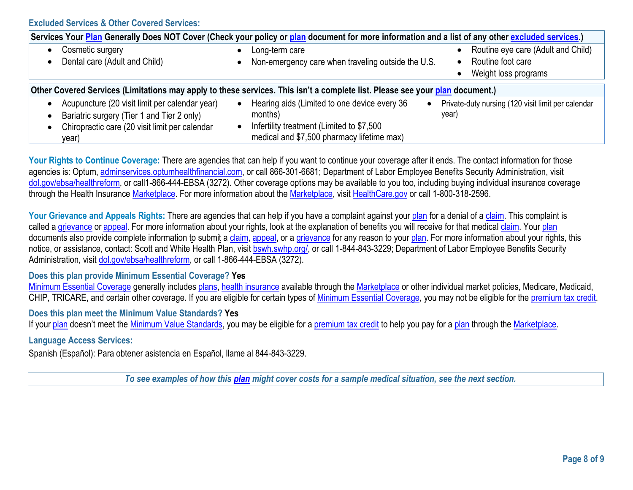**Excluded Services & Other Covered Services:** 

| Services Your Plan Generally Does NOT Cover (Check your policy or plan document for more information and a list of any other excluded services.) |  |                                                    |  |                                                    |  |  |  |
|--------------------------------------------------------------------------------------------------------------------------------------------------|--|----------------------------------------------------|--|----------------------------------------------------|--|--|--|
| Cosmetic surgery                                                                                                                                 |  | Long-term care                                     |  | Routine eye care (Adult and Child)                 |  |  |  |
| Dental care (Adult and Child)                                                                                                                    |  | Non-emergency care when traveling outside the U.S. |  | Routine foot care                                  |  |  |  |
|                                                                                                                                                  |  |                                                    |  | Weight loss programs                               |  |  |  |
|                                                                                                                                                  |  |                                                    |  |                                                    |  |  |  |
| Other Covered Services (Limitations may apply to these services. This isn't a complete list. Please see your plan document.)                     |  |                                                    |  |                                                    |  |  |  |
| Acupuncture (20 visit limit per calendar year)                                                                                                   |  | Hearing aids (Limited to one device every 36       |  | Private-duty nursing (120 visit limit per calendar |  |  |  |
| Bariatric surgery (Tier 1 and Tier 2 only)                                                                                                       |  | months)                                            |  | year)                                              |  |  |  |
| Chiropractic care (20 visit limit per calendar                                                                                                   |  | Infertility treatment (Limited to \$7,500          |  |                                                    |  |  |  |
| year)                                                                                                                                            |  | medical and \$7,500 pharmacy lifetime max)         |  |                                                    |  |  |  |

Your Rights to Continue Coverage: There are agencies that can help if you want to continue your coverage after it ends. The contact information for those agencies is: Optum[, adminservices.optumhealthfinancial.com, o](http://www.adminservices.optumhealthfinancial.com/)r call 866-301-6681; Department of Labor Employee Benefits Security Administration, visit [dol.gov/ebsa/healthreform,](http://www.dol.gov/ebsa/healthreform) or call1-866-444-EBSA (3272). Other coverage options may be available to you too, including buying individual insurance coverage through the Health Insurance [Marketplace. F](https://www.healthcare.gov/sbc-glossary/#marketplace)or more information about the [Marketplace, v](https://www.healthcare.gov/sbc-glossary/#marketplace)isit [HealthCare.gov](http://www.healthcare.gov/) or call 1-800-318-2596.

Your Grievance and Appeals Rights: There are agencies that can help if you have a complaint against you[r plan](https://www.healthcare.gov/sbc-glossary/#plan) for a denial of a [claim.](https://www.healthcare.gov/sbc-glossary/#claim) This complaint is called [a grievance](https://www.healthcare.gov/sbc-glossary/#grievance) or [appeal. F](https://www.healthcare.gov/sbc-glossary/#appeal)or more information about your rights, look at the explanation of benefits you will receive for that medical [claim.](https://www.healthcare.gov/sbc-glossary/#claim) Your [plan](https://www.healthcare.gov/sbc-glossary/#plan) documents also provide complete information to submit a [claim,](https://www.healthcare.gov/sbc-glossary/#claim) [appeal, o](https://www.healthcare.gov/sbc-glossary/#appeal)r a [grievance](https://www.healthcare.gov/sbc-glossary/#grievance) for any reason to you[r plan. F](https://www.healthcare.gov/sbc-glossary/#plan)or more information about your rights, this notice, or assistance, contact: Scott and White Health Plan, visit bswh.swhp.org/, or call 1-844-843-3229; Department of Labor Employee Benefits Security Administration, visit [dol.gov/ebsa/healthreform,](http://www.dol.gov/ebsa/healthreform) or call 1-866-444-EBSA (3272).

### **Does this plan provide Minimum Essential Coverage? Yes**

[Minimum Essential Coverage](https://www.healthcare.gov/sbc-glossary/#minimum-essential-coverage) generally includes [plans,](https://www.healthcare.gov/sbc-glossary/#plan) [health insurance](https://www.healthcare.gov/sbc-glossary/#health-insurance) available through the [Marketplace](https://www.healthcare.gov/sbc-glossary/#marketplace) or other individual market policies, Medicare, Medicaid, CHIP, TRICARE, and certain other coverage. If you are eligible for certain types of [Minimum Essential Coverage,](https://www.healthcare.gov/sbc-glossary/#minimum-essential-coverage) you may not be eligible for the [premium tax credit.](https://www.healthcare.gov/sbc-glossary/#premium-tax-credits)

### **Does this plan meet the Minimum Value Standards? Yes**

If your [plan](https://www.healthcare.gov/sbc-glossary/#plan) doesn't meet the [Minimum Value Standards,](https://www.healthcare.gov/sbc-glossary/#minimum-value-standard) you may be eligible for a [premium tax credit](https://www.healthcare.gov/sbc-glossary/#premium-tax-credits) to help you pay for a plan through the [Marketplace.](https://www.healthcare.gov/sbc-glossary/#marketplace)

## **Language Access Services:**

Spanish (Español): Para obtener asistencia en Español, llame al 844-843-3229.

*To see examples of how this [plan](https://www.healthcare.gov/sbc-glossary/#plan) might cover costs for a sample medical situation, see the next section.*